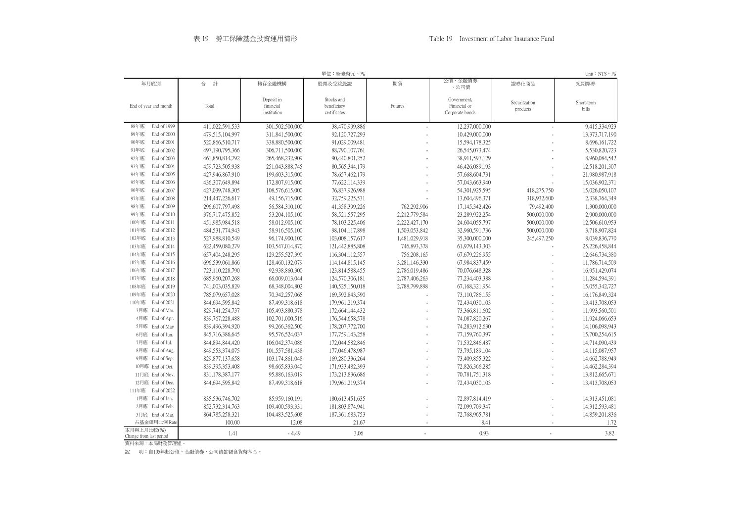|                                       |                    |                                        | 單位:新臺幣元、%                                 |                          |                                                |                           | Unit: $NTS \cdot \%$ |
|---------------------------------------|--------------------|----------------------------------------|-------------------------------------------|--------------------------|------------------------------------------------|---------------------------|----------------------|
| 年月底別                                  | 合<br>計             | 轉存金融機構                                 | 股票及受益憑證                                   | 期貨                       | 公債、金融債券<br>、公司債                                | 證券化商品                     | 短期票券                 |
| End of year and month                 | Total              | Deposit in<br>financial<br>institution | Stocks and<br>beneficiary<br>certificates | Futures                  | Government,<br>Financial or<br>Corporate bonds | Securitzation<br>products | Short-term<br>bills  |
| End of 1999<br>88年底                   | 411,022,591,533    | 301,502,500,000                        | 38,470,999,886                            | $\overline{\phantom{a}}$ | 12,237,000,000                                 | $\overline{\phantom{a}}$  | 9,415,334,923        |
| 89年底<br>End of 2000                   | 479,515,104,997    | 311,841,500,000                        | 92,120,727,293                            |                          | 10,429,000,000                                 |                           | 13,373,717,190       |
| 90年底<br>End of 2001                   | 520,866,510,717    | 338,880,500,000                        | 91,029,009,481                            |                          | 15,594,178,325                                 |                           | 8,696,161,722        |
| 91年底<br>End of 2002                   | 497,190,795,366    | 306,711,500,000                        | 88,790,107,761                            |                          | 26,545,073,474                                 |                           | 5,530,820,723        |
| 92年底<br>End of 2003                   | 461,850,814,792    | 265,468,232,909                        | 90,440,801,252                            |                          | 38,911,597,129                                 |                           | 8,960,084,542        |
| 93年底<br>End of 2004                   | 459,723,505,938    | 251,043,888,745                        | 80, 565, 344, 179                         |                          | 46,426,089,193                                 |                           | 12,518,201,307       |
| 94年底<br>End of 2005                   | 427,946,867,910    | 199,603,315,000                        | 78,657,462,179                            |                          | 57,668,604,731                                 |                           | 21,980,987,918       |
| 95年底<br>End of 2006                   | 436, 307, 649, 894 | 172,807,915,000                        | 77,622,114,339                            |                          | 57,043,663,940                                 |                           | 15,036,902,371       |
| 96年底<br>End of 2007                   | 427,039,748,305    | 108,576,615,000                        | 76,837,926,988                            |                          | 54, 301, 925, 595                              | 418,275,750               | 15,026,050,107       |
| 97年底<br>End of 2008                   | 214,447,226,617    | 49,156,715,000                         | 32,759,225,531                            |                          | 13,604,496,371                                 | 318,932,600               | 2,338,764,349        |
| 98年底<br>End of 2009                   | 296,607,797,498    | 56,584,310,100                         | 41,358,399,226                            | 762,292,906              | 17,145,342,426                                 | 79,492,400                | 1,300,000,000        |
| 99年底<br>End of 2010                   | 376,717,475,852    | 53,204,105,100                         | 58, 521, 557, 295                         | 2,212,779,584            | 23,289,922,254                                 | 500,000,000               | 2,900,000,000        |
| End of 2011<br>100年底                  | 451,985,984,518    | 58,012,905,100                         | 78, 103, 225, 406                         | 2,222,427,170            | 24,604,055,797                                 | 500,000,000               | 12,506,610,953       |
| 101年底<br>End of 2012                  | 484,531,774,943    | 58,916,505,100                         | 98, 104, 117, 898                         | 1,503,053,842            | 32,960,591,736                                 | 500,000,000               | 3,718,907,824        |
| 102年底<br>End of 2013                  | 527,988,810,549    | 96,174,900,100                         | 103,008,157,617                           | 1,481,029,918            | 35,300,000,000                                 | 245, 497, 250             | 8,039,836,770        |
| 103年底<br>End of 2014                  | 622,459,080,279    | 103,547,014,870                        | 121,442,885,808                           | 746,893,378              | 61,979,143,303                                 |                           | 25,226,458,844       |
| 104年底<br>End of 2015                  | 657,404,248,295    | 129,255,527,390                        | 116,304,112,557                           | 756,208,165              | 67,679,226,955                                 |                           | 12,646,734,380       |
| 105年底<br>End of 2016                  | 696,539,061,866    | 128,460,132,079                        | 114, 144, 815, 145                        | 3,281,146,330            | 67,984,837,459                                 |                           | 11,786,714,509       |
| 106年底<br>End of 2017                  | 723,110,228,790    | 92,938,860,300                         | 123,814,588,455                           | 2,786,019,486            | 70,076,648,328                                 |                           | 16,951,429,074       |
| 107年底<br>End of 2018                  | 685,960,207,268    | 66,009,013,044                         | 124,570,306,181                           | 2,787,406,263            | 77,234,403,388                                 |                           | 11,284,594,391       |
| 108年底<br>End of 2019                  | 741,003,035,829    | 68,348,004,802                         | 140,525,150,018                           | 2,788,799,898            | 67,168,321,954                                 |                           | 15,055,342,727       |
| 109年底<br>End of 2020                  | 785,079,657,028    | 70,342,257,065                         | 169,592,843,590                           |                          | 73,110,786,155                                 |                           | 16,176,849,324       |
| 110年底<br>End of 2021                  | 844,694,595,842    | 87,499,318,618                         | 179,961,219,374                           |                          | 72,434,030,103                                 |                           | 13,413,708,053       |
| 3月底 End of Mar.                       | 829,741,254,737    | 105,493,880,378                        | 172,664,144,432                           |                          | 73,366,811,602                                 | $\overline{\phantom{a}}$  | 11,993,560,501       |
| 4月底 End of Apr.                       | 839, 767, 228, 488 | 102,701,000,516                        | 176, 544, 658, 578                        |                          | 74,087,820,267                                 |                           | 11,924,066,653       |
| 5月底 End of May                        | 839,496,394,920    | 99,266,362,500                         | 178, 207, 772, 700                        |                          | 74,283,912,630                                 |                           | 14,106,098,943       |
| 6月底 End of Jun.                       | 845,716,386,645    | 95,576,524,037                         | 177, 759, 143, 258                        |                          | 77,159,760,397                                 |                           | 15,700,254,615       |
| 7月底 End of Jul.                       | 844, 894, 844, 420 | 106,042,374,086                        | 172,044,582,846                           |                          | 71,532,846,487                                 |                           | 14,714,090,439       |
| 8月底 End of Aug.                       | 849, 553, 374, 075 | 101,557,581,438                        | 177,046,478,987                           |                          | 73,795,189,104                                 |                           | 14,115,087,957       |
| 9月底 End of Sep.                       | 829, 877, 137, 658 | 103,174,861,048                        | 169,280,336,264                           |                          | 73,409,855,322                                 |                           | 14,662,788,949       |
| 10月底 End of Oct.                      | 839, 395, 353, 408 | 98,665,833,040                         | 171,933,482,393                           |                          | 72,826,366,285                                 |                           | 14,462,284,394       |
| 11月底 End of Nov.                      | 831, 178, 387, 177 | 95,886,163,019                         | 173,213,836,686                           |                          | 70,781,751,318                                 |                           | 13,812,665,671       |
| 12月底 End of Dec.                      | 844,694,595,842    | 87,499,318,618                         | 179,961,219,374                           |                          | 72,434,030,103                                 |                           | 13,413,708,053       |
| 111年底 End of 2022                     |                    |                                        |                                           |                          |                                                |                           |                      |
| 1月底 End of Jan.                       | 835,536,746,702    | 85,959,160,191                         | 180,613,451,635                           |                          | 72,897,814,419                                 |                           | 14,313,451,081       |
| 2月底 End of Feb.                       | 852,732,314,763    | 109,400,593,331                        | 181,803,874,941                           |                          | 72,099,709,347                                 |                           | 14,312,593,481       |
| 3月底 End of Mar.                       | 864, 785, 258, 321 | 104,483,525,608                        | 187, 361, 683, 753                        |                          | 72,768,965,781                                 |                           | 14,859,201,836       |
| 占基金運用比例 Rate                          | 100.00             | 12.08                                  | 21.67                                     |                          | 8.41                                           |                           | 1.72                 |
| 本月與上月比較(%)<br>Change from last period | 1.41               | $-4.49$                                | 3.06                                      |                          | 0.93                                           |                           | 3.82                 |
| 資料來源:本局財務管理組。                         |                    |                                        |                                           |                          |                                                |                           |                      |

說 明:自105年起公債、金融債券、公司債餘額含貨幣基金。

| Short-term<br>bills<br>9,415,334,923<br>13,373,717,190<br>8,696,161,722<br>5,530,820,723<br>8,960,084,542<br>12,518,201,307<br>21,980,987,918<br>15,036,902,371<br>15,026,050,107<br>2,338,764,349<br>1,300,000,000<br>2,900,000,000<br>12,506,610,953<br>3,718,907,824<br>8,039,836,770<br>25,226,458,844<br>12,646,734,380<br>11,786,714,509<br>16,951,429,074<br>11,284,594,391<br>15,055,342,727<br>16,176,849,324<br>13,413,708,053<br>11,993,560,501<br>11,924,066,653<br>14,106,098,943<br>15,700,254,615<br>14,714,090,439<br>14,115,087,957<br>14,662,788,949<br>14,462,284,394<br>13,812,665,671<br>13,413,708,053 |
|------------------------------------------------------------------------------------------------------------------------------------------------------------------------------------------------------------------------------------------------------------------------------------------------------------------------------------------------------------------------------------------------------------------------------------------------------------------------------------------------------------------------------------------------------------------------------------------------------------------------------|
|                                                                                                                                                                                                                                                                                                                                                                                                                                                                                                                                                                                                                              |
|                                                                                                                                                                                                                                                                                                                                                                                                                                                                                                                                                                                                                              |

Unit: $NTS \cdot \mathcal{Y}_0$ 

| 14,313,451,081 |
|----------------|
| 14,312,593,481 |
| 14,859,201,836 |
| 1.72           |
| 3.82           |